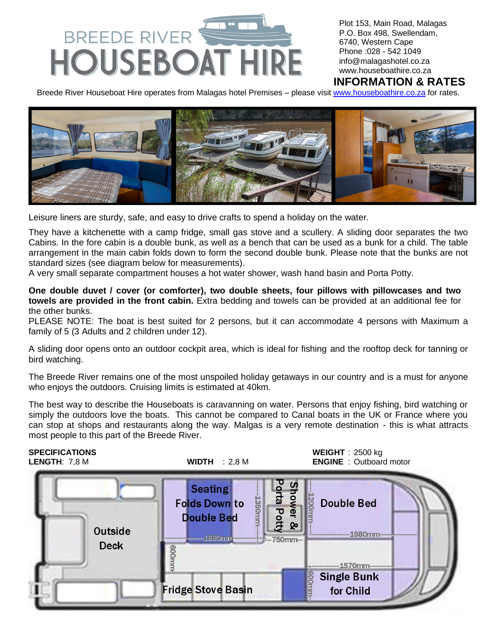

Plot 153, Main Road, Malagas P.O. Box 498, Swellendam, 6740, Western Cape Phone :028 - 542 1049 [info@malagashotel.co.za](mailto:info@malagashotel.co.za) www.houseboathire.co.za

## **INFORMATION & RATES**

Breede River Houseboat Hire operates from Malagas hotel Premises - please visit [www.houseboathire.co.za](http://www.houseboathire.co.za/) for rates.



Leisure liners are sturdy, safe, and easy to drive crafts to spend a holiday on the water.

They have a kitchenette with a camp fridge, small gas stove and a scullery. A sliding door separates the two Cabins. In the fore cabin is a double bunk, as well as a bench that can be used as a bunk for a child. The table arrangement in the main cabin folds down to form the second double bunk. Please note that the bunks are not standard sizes (see diagram below for measurements).

A very small separate compartment houses a hot water shower, wash hand basin and Porta Potty.

**One double duvet / cover (or comforter), two double sheets, four pillows with pillowcases and two towels are provided in the front cabin.** Extra bedding and towels can be provided at an additional fee for the other bunks.

PLEASE NOTE: The boat is best suited for 2 persons, but it can accommodate 4 persons with Maximum a family of 5 (3 Adults and 2 children under 12).

A sliding door opens onto an outdoor cockpit area, which is ideal for fishing and the rooftop deck for tanning or bird watching.

The Breede River remains one of the most unspoiled holiday getaways in our country and is a must for anyone who enjoys the outdoors. Cruising limits is estimated at 40km.

The best way to describe the Houseboats is caravanning on water. Persons that enjoy fishing, bird watching or simply the outdoors love the boats. This cannot be compared to Canal boats in the UK or France where you can stop at shops and restaurants along the way. Malgas is a very remote destination - this is what attracts most people to this part of the Breede River.

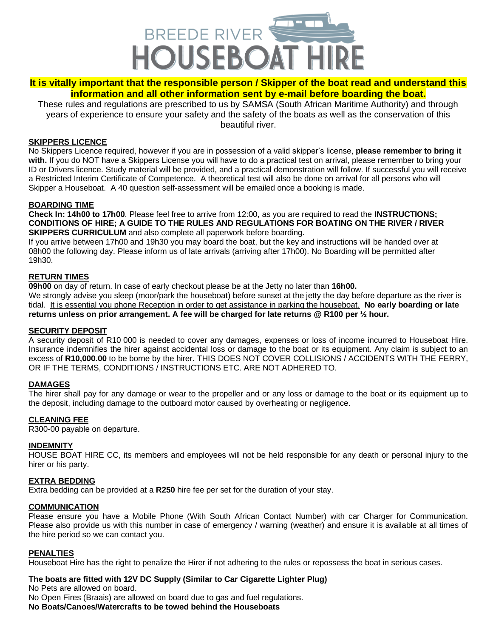

## **It is vitally important that the responsible person / Skipper of the boat read and understand this information and all other information sent by e-mail before boarding the boat.**

These rules and regulations are prescribed to us by SAMSA (South African Maritime Authority) and through years of experience to ensure your safety and the safety of the boats as well as the conservation of this beautiful river.

#### **SKIPPERS LICENCE**

No Skippers Licence required, however if you are in possession of a valid skipper's license, **please remember to bring it with.** If you do NOT have a Skippers License you will have to do a practical test on arrival, please remember to bring your ID or Drivers licence. Study material will be provided, and a practical demonstration will follow. If successful you will receive a Restricted Interim Certificate of Competence. A theoretical test will also be done on arrival for all persons who will Skipper a Houseboat. A 40 question self-assessment will be emailed once a booking is made.

#### **BOARDING TIME**

**Check In: 14h00 to 17h00**. Please feel free to arrive from 12:00, as you are required to read the **INSTRUCTIONS; CONDITIONS OF HIRE; A GUIDE TO THE RULES AND REGULATIONS FOR BOATING ON THE RIVER / RIVER SKIPPERS CURRICULUM** and also complete all paperwork before boarding.

If you arrive between 17h00 and 19h30 you may board the boat, but the key and instructions will be handed over at 08h00 the following day. Please inform us of late arrivals (arriving after 17h00). No Boarding will be permitted after 19h30.

#### **RETURN TIMES**

**09h00** on day of return. In case of early checkout please be at the Jetty no later than **16h00.** We strongly advise you sleep (moor/park the houseboat) before sunset at the jetty the day before departure as the river is tidal. It is essential you phone Reception in order to get assistance in parking the houseboat. **No early boarding or late returns unless on prior arrangement. A fee will be charged for late returns @ R100 per ½ hour.**

#### **SECURITY DEPOSIT**

A security deposit of R10 000 is needed to cover any damages, expenses or loss of income incurred to Houseboat Hire. Insurance indemnifies the hirer against accidental loss or damage to the boat or its equipment. Any claim is subject to an excess of **R10,000.00** to be borne by the hirer. THIS DOES NOT COVER COLLISIONS / ACCIDENTS WITH THE FERRY, OR IF THE TERMS, CONDITIONS / INSTRUCTIONS ETC. ARE NOT ADHERED TO.

#### **DAMAGES**

The hirer shall pay for any damage or wear to the propeller and or any loss or damage to the boat or its equipment up to the deposit, including damage to the outboard motor caused by overheating or negligence.

#### **CLEANING FEE**

R300-00 payable on departure.

#### **INDEMNITY**

HOUSE BOAT HIRE CC, its members and employees will not be held responsible for any death or personal injury to the hirer or his party.

#### **EXTRA BEDDING**

Extra bedding can be provided at a **R250** hire fee per set for the duration of your stay.

#### **COMMUNICATION**

Please ensure you have a Mobile Phone (With South African Contact Number) with car Charger for Communication. Please also provide us with this number in case of emergency / warning (weather) and ensure it is available at all times of the hire period so we can contact you.

#### **PENALTIES**

Houseboat Hire has the right to penalize the Hirer if not adhering to the rules or repossess the boat in serious cases.

#### **The boats are fitted with 12V DC Supply (Similar to Car Cigarette Lighter Plug)**

No Pets are allowed on board.

No Open Fires (Braais) are allowed on board due to gas and fuel regulations.

**No Boats/Canoes/Watercrafts to be towed behind the Houseboats**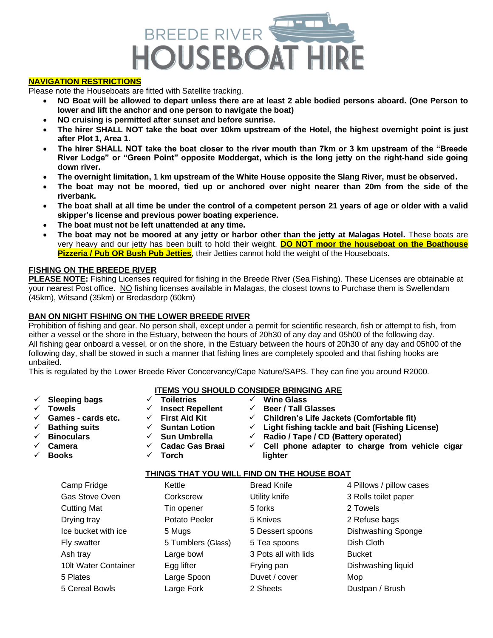

#### **NAVIGATION RESTRICTIONS**

Please note the Houseboats are fitted with Satellite tracking.

- **NO Boat will be allowed to depart unless there are at least 2 able bodied persons aboard. (One Person to lower and lift the anchor and one person to navigate the boat)**
- **NO cruising is permitted after sunset and before sunrise.**
- **The hirer SHALL NOT take the boat over 10km upstream of the Hotel, the highest overnight point is just after Plot 1, Area 1.**
- **The hirer SHALL NOT take the boat closer to the river mouth than 7km or 3 km upstream of the "Breede River Lodge" or "Green Point" opposite Moddergat, which is the long jetty on the right-hand side going down river.**
- **The overnight limitation, 1 km upstream of the White House opposite the Slang River, must be observed.**
- **The boat may not be moored, tied up or anchored over night nearer than 20m from the side of the riverbank.**
- **The boat shall at all time be under the control of a competent person 21 years of age or older with a valid skipper's license and previous power boating experience.**
- **The boat must not be left unattended at any time.**
- **The boat may not be moored at any jetty or harbor other than the jetty at Malagas Hotel.** These boats are very heavy and our jetty has been built to hold their weight. **DO NOT moor the houseboat on the Boathouse Pizzeria / Pub OR Bush Pub Jetties**, their Jetties cannot hold the weight of the Houseboats.

#### **FISHING ON THE BREEDE RIVER**

**PLEASE NOTE:** Fishing Licenses required for fishing in the Breede River (Sea Fishing). These Licenses are obtainable at your nearest Post office. NO fishing licenses available in Malagas, the closest towns to Purchase them is Swellendam (45km), Witsand (35km) or Bredasdorp (60km)

#### **BAN ON NIGHT FISHING ON THE LOWER BREEDE RIVER**

Prohibition of fishing and gear. No person shall, except under a permit for scientific research, fish or attempt to fish, from either a vessel or the shore in the Estuary, between the hours of 20h30 of any day and 05h00 of the following day. All fishing gear onboard a vessel, or on the shore, in the Estuary between the hours of 20h30 of any day and 05h00 of the following day, shall be stowed in such a manner that fishing lines are completely spooled and that fishing hooks are unbaited.

This is regulated by the Lower Breede River Concervancy/Cape Nature/SAPS. They can fine you around R2000.

# **ITEMS YOU SHOULD CONSIDER BRINGING ARE**

- 
- 
- 
- 
- 
- ✓ **Camera**
- ✓ **Books**
- 
- 
- 
- ✓ **Cadac Gas Braai**
	- ✓ **Torch**
- ✓ **Sleeping bags** ✓ **Toiletries** ✓ **Wine Glass** ✓ **Towels** ✓ **Insect Repellent** ✓ **Beer / Tall Glasses**
	-
- ✓ **Games - cards etc.** ✓ **First Aid Kit** ✓ **Children's Life Jackets (Comfortable fit)**
- ✓ **Bathing suits** ✓ **Suntan Lotion** ✓ **Light fishing tackle and bait (Fishing License)**
- ✓ **Binoculars** ✓ **Sun Umbrella** ✓ **Radio / Tape / CD (Battery operated)**
	- ✓ **Cell phone adapter to charge from vehicle cigar lighter**

#### **THINGS THAT YOU WILL FIND ON THE HOUSE BOAT**

| Camp Fridge          | Kettle             | <b>Bread Knife</b>   | 4 Pillows / pillow cases |
|----------------------|--------------------|----------------------|--------------------------|
| Gas Stove Oven       | Corkscrew          | Utility knife        | 3 Rolls toilet paper     |
| <b>Cutting Mat</b>   | Tin opener         | 5 forks              | 2 Towels                 |
| Drying tray          | Potato Peeler      | 5 Knives             | 2 Refuse bags            |
| Ice bucket with ice  | 5 Mugs             | 5 Dessert spoons     | Dishwashing Sponge       |
| Fly swatter          | 5 Tumblers (Glass) | 5 Tea spoons         | Dish Cloth               |
| Ash tray             | Large bowl         | 3 Pots all with lids | <b>Bucket</b>            |
| 10It Water Container | Egg lifter         | Frying pan           | Dishwashing liquid       |
| 5 Plates             | Large Spoon        | Duvet / cover        | Mop                      |
| 5 Cereal Bowls       | Large Fork         | 2 Sheets             | Dustpan / Brush          |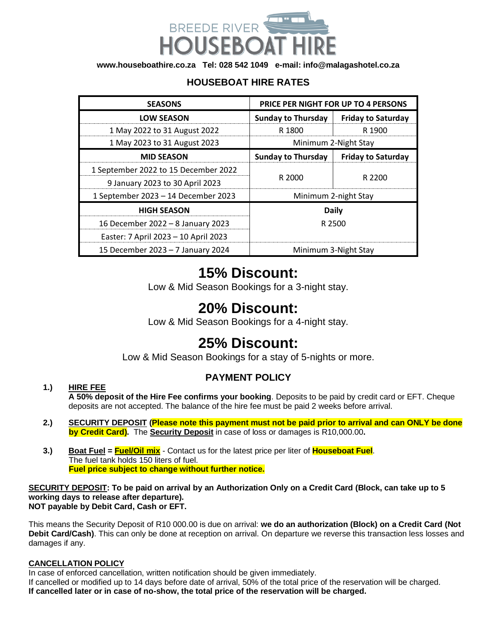

**[www.houseboathire.co.za](http://www.houseboathire.co.za/) Tel: 028 542 1049 e-mail[: info@malagashotel.co.za](mailto:info@malagashotel.co.za)**

## **HOUSEBOAT HIRE RATES**

| <b>PRICE PER NIGHT FOR UP TO 4 PERSONS</b><br><b>SEASONS</b> |                           |                           |
|--------------------------------------------------------------|---------------------------|---------------------------|
| <b>LOW SEASON</b>                                            | <b>Sunday to Thursday</b> | <b>Friday to Saturday</b> |
| 1 May 2022 to 31 August 2022                                 | R 1800                    | R 1900                    |
| 1 May 2023 to 31 August 2023                                 | Minimum 2-Night Stay      |                           |
| <b>MID SEASON</b>                                            | <b>Sunday to Thursday</b> | <b>Friday to Saturday</b> |
| 1 September 2022 to 15 December 2022                         |                           | R 2200                    |
| 9 January 2023 to 30 April 2023                              | R 2000                    |                           |
| 1 September 2023 - 14 December 2023                          | Minimum 2-night Stay      |                           |
| <b>HIGH SEASON</b>                                           | <b>Daily</b>              |                           |
| 16 December 2022 - 8 January 2023                            | R 2500                    |                           |
| Easter: 7 April 2023 - 10 April 2023                         |                           |                           |
| 15 December 2023 - 7 January 2024                            | Minimum 3-Night Stay      |                           |

# **15% Discount:**

Low & Mid Season Bookings for a 3-night stay.

# **20% Discount:**

Low & Mid Season Bookings for a 4-night stay.

# **25% Discount:**

Low & Mid Season Bookings for a stay of 5-nights or more.

# **PAYMENT POLICY**

## **1.) HIRE FEE**

**A 50% deposit of the Hire Fee confirms your booking**. Deposits to be paid by credit card or EFT. Cheque deposits are not accepted. The balance of the hire fee must be paid 2 weeks before arrival.

- **2.) SECURITY DEPOSIT (Please note this payment must not be paid prior to arrival and can ONLY be done by Credit Card).** The **Security Deposit** in case of loss or damages is R10,000.00**.**
- **3.) Boat Fuel = Fuel/Oil mix** Contact us for the latest price per liter of **Houseboat Fuel**. The fuel tank holds 150 liters of fuel.  **Fuel price subject to change without further notice.**

**SECURITY DEPOSIT: To be paid on arrival by an Authorization Only on a Credit Card (Block, can take up to 5 working days to release after departure). NOT payable by Debit Card, Cash or EFT.**

This means the Security Deposit of R10 000.00 is due on arrival: **we do an authorization (Block) on a Credit Card (Not Debit Card/Cash)**. This can only be done at reception on arrival. On departure we reverse this transaction less losses and damages if any.

#### **CANCELLATION POLICY**

In case of enforced cancellation, written notification should be given immediately.

If cancelled or modified up to 14 days before date of arrival, 50% of the total price of the reservation will be charged. **If cancelled later or in case of no-show, the total price of the reservation will be charged.**